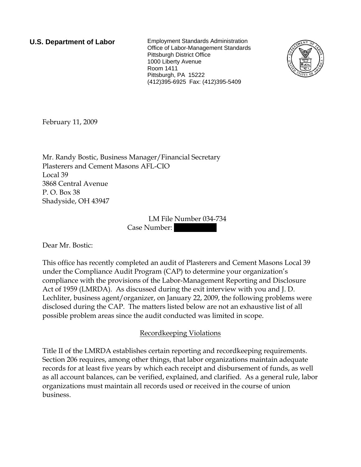**U.S. Department of Labor** Employment Standards Administration Office of Labor-Management Standards Pittsburgh District Office 1000 Liberty Avenue Room 1411 Pittsburgh, PA 15222 (412)395-6925 Fax: (412)395-5409



February 11, 2009

Mr. Randy Bostic, Business Manager/Financial Secretary Plasterers and Cement Masons AFL-CIO Local 39 3868 Central Avenue P. O. Box 38 Shadyside, OH 43947

> LM File Number 034-734 Case Number:

Dear Mr. Bostic:

This office has recently completed an audit of Plasterers and Cement Masons Local 39 under the Compliance Audit Program (CAP) to determine your organization's compliance with the provisions of the Labor-Management Reporting and Disclosure Act of 1959 (LMRDA). As discussed during the exit interview with you and J. D. Lechliter, business agent/organizer, on January 22, 2009, the following problems were disclosed during the CAP. The matters listed below are not an exhaustive list of all possible problem areas since the audit conducted was limited in scope.

## Recordkeeping Violations

Title II of the LMRDA establishes certain reporting and recordkeeping requirements. Section 206 requires, among other things, that labor organizations maintain adequate records for at least five years by which each receipt and disbursement of funds, as well as all account balances, can be verified, explained, and clarified. As a general rule, labor organizations must maintain all records used or received in the course of union business.